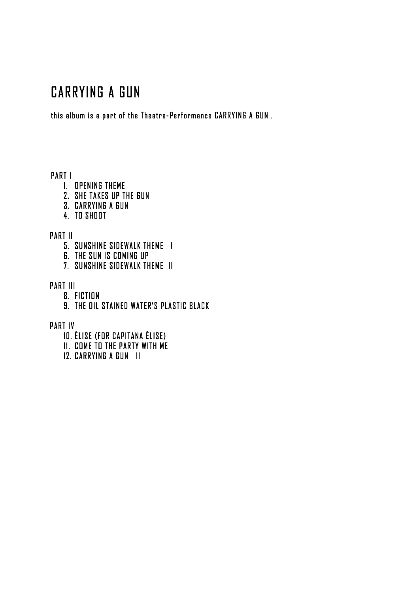## CARRYING A GUN

this album is a part of the Theatre-Performance CARRYING A GUN .

PART I

- 1. OPENING THEME
- 2. SHE TAKES UP THE GUN
- 3. CARRYING A GUN
- 4. TO SHOOT

PART II

- 5. SUNSHINE SIDEWALK THEME I
- 6. THE SUN IS COMING UP
- 7. SUNSHINE SIDEWALK THEME II

PART III

- 8. FICTION
- 9. THE OIL STAINED WATER'S PLASTIC BLACK

PART IV

- 10. ÈLISE (FOR CAPITANA ÈLISE)
- 11. COME TO THE PARTY WITH ME
- 12. CARRYING A GUN II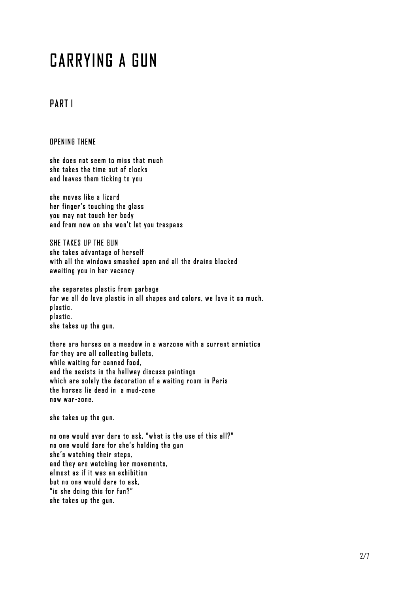# CARRYING A GUN

## PART I

OPENING THEME

she does not seem to miss that much she takes the time out of clocks and leaves them ticking to you

she moves like a lizard her finger's touching the glass you may not touch her body and from now on she won't let you trespass

SHE TAKES UP THE GUN she takes advantage of herself with all the windows smashed open and all the drains blocked awaiting you in her vacancy

she separates plastic from garbage for we all do love plastic in all shapes and colors, we love it so much. plastic. plastic. she takes up the gun.

there are horses on a meadow in a warzone with a current armistice for they are all collecting bullets, while waiting for canned food, and the sexists in the hallway discuss paintings which are solely the decoration of a waiting room in Paris the horses lie dead in a mud-zone now war-zone.

she takes up the gun.

no one would ever dare to ask, "what is the use of this all?" no one would dare for she's holding the gun she's watching their steps, and they are watching her movements, almost as if it was an exhibition but no one would dare to ask, "is she doing this for fun?" she takes up the gun.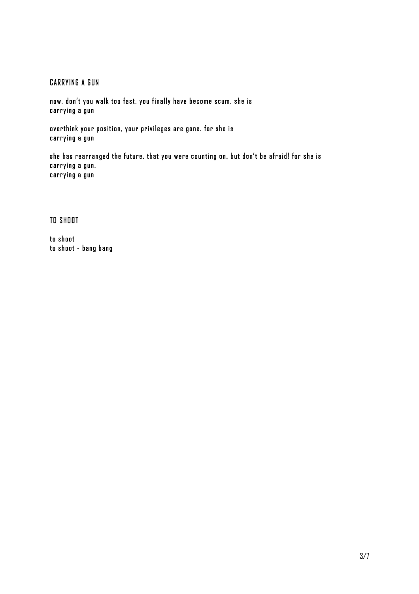#### CARRYING A GUN

now, don't you walk too fast, you finally have become scum. she is carrying a gun

overthink your position, your privileges are gone. for she is carrying a gun

she has rearranged the future, that you were counting on. but don't be afraid! for she is carrying a gun. carrying a gun

TO SHOOT

to shoot to shoot - bang bang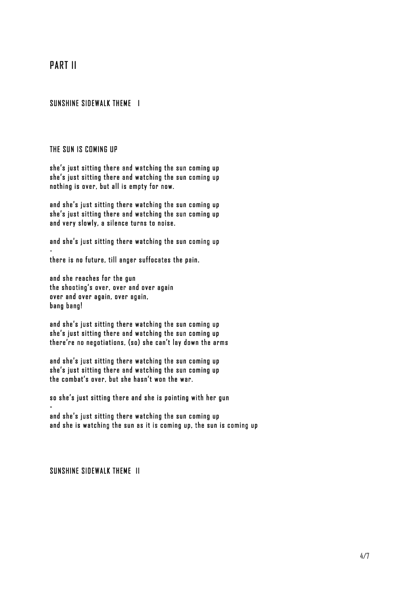## PART II

#### SUNSHINE SIDEWALK THEME I

#### THE SUN IS COMING UP

she's just sitting there and watching the sun coming up she's just sitting there and watching the sun coming up nothing is over, but all is empty for now.

and she's just sitting there watching the sun coming up she's just sitting there and watching the sun coming up and very slowly, a silence turns to noise.

and she's just sitting there watching the sun coming up -

there is no future, till anger suffocates the pain.

and she reaches for the gun the shooting's over, over and over again over and over again, over again, bang bang!

and she's just sitting there watching the sun coming up she's just sitting there and watching the sun coming up there're no negotiations, (so) she can't lay down the arms

and she's just sitting there watching the sun coming up she's just sitting there and watching the sun coming up the combat's over, but she hasn't won the war.

so she's just sitting there and she is pointing with her gun

and she's just sitting there watching the sun coming up and she is watching the sun as it is coming up, the sun is coming up

#### SUNSHINE SIDEWALK THEME II

-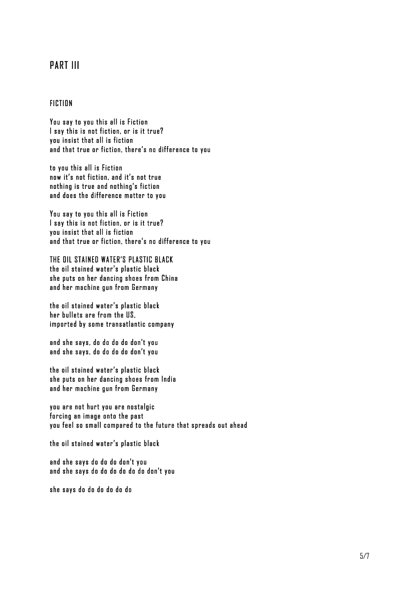## PART III

#### FICTION

You say to you this all is Fiction I say this is not fiction, or is it true? you insist that all is fiction and that true or fiction, there's no difference to you

to you this all is Fiction now it's not fiction, and it's not true nothing is true and nothing's fiction and does the difference matter to you

You say to you this all is Fiction I say this is not fiction, or is it true? you insist that all is fiction and that true or fiction, there's no difference to you

THE OIL STAINED WATER'S PLASTIC BLACK the oil stained water's plastic black she puts on her dancing shoes from China and her machine gun from Germany

the oil stained water's plastic black her bullets are from the US, imported by some transatlantic company

and she says, do do do do don't you and she says, do do do do don't you

the oil stained water's plastic black she puts on her dancing shoes from India and her machine gun from Germany

you are not hurt you are nostalgic forcing an image onto the past you feel so small compared to the future that spreads out ahead

the oil stained water's plastic black

and she says do do do don't you and she says do do do do do do don't you

she says do do do do do do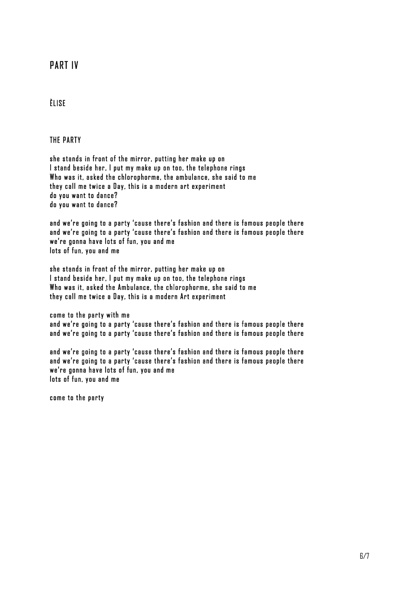## PART IV

#### ÈLISE

THE PARTY

she stands in front of the mirror, putting her make up on I stand beside her, I put my make up on too, the telephone rings Who was it, asked the chlorophorme, the ambulance, she said to me they call me twice a Day, this is a modern art experiment do you want to dance? do you want to dance?

and we're going to a party 'cause there's fashion and there is famous people there and we're going to a party 'cause there's fashion and there is famous people there we're gonna have lots of fun, you and me lots of fun, you and me

she stands in front of the mirror, putting her make up on I stand beside her, I put my make up on too, the telephone rings Who was it, asked the Ambulance, the chlorophorme, she said to me they call me twice a Day, this is a modern Art experiment

come to the party with me and we're going to a party 'cause there's fashion and there is famous people there and we're going to a party 'cause there's fashion and there is famous people there

and we're going to a party 'cause there's fashion and there is famous people there and we're going to a party 'cause there's fashion and there is famous people there we're gonna have lots of fun, you and me lots of fun, you and me

come to the party